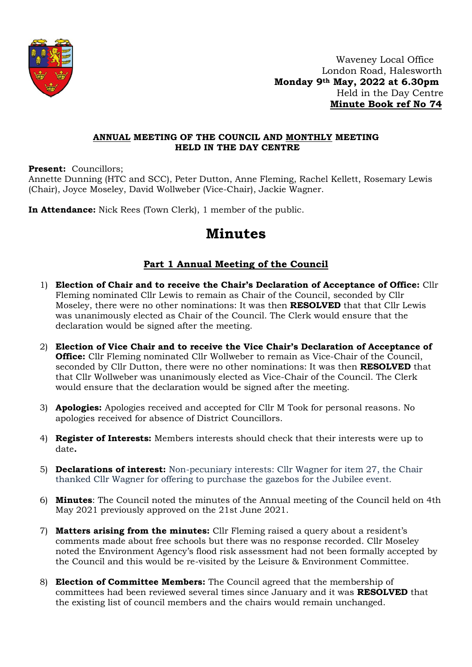

 Waveney Local Office London Road, Halesworth  **Monday 9th May, 2022 at 6.30pm** Held in the Day Centre  **Minute Book ref No 74**

## **ANNUAL MEETING OF THE COUNCIL AND MONTHLY MEETING HELD IN THE DAY CENTRE**

**Present:** Councillors;

Annette Dunning (HTC and SCC), Peter Dutton, Anne Fleming, Rachel Kellett, Rosemary Lewis (Chair), Joyce Moseley, David Wollweber (Vice-Chair), Jackie Wagner.

**In Attendance:** Nick Rees (Town Clerk), 1 member of the public.

# **Minutes**

## **Part 1 Annual Meeting of the Council**

- 1) **Election of Chair and to receive the Chair's Declaration of Acceptance of Office:** Cllr Fleming nominated Cllr Lewis to remain as Chair of the Council, seconded by Cllr Moseley, there were no other nominations: It was then **RESOLVED** that that Cllr Lewis was unanimously elected as Chair of the Council. The Clerk would ensure that the declaration would be signed after the meeting.
- 2) **Election of Vice Chair and to receive the Vice Chair's Declaration of Acceptance of Office:** Cllr Fleming nominated Cllr Wollweber to remain as Vice-Chair of the Council, seconded by Cllr Dutton, there were no other nominations: It was then **RESOLVED** that that Cllr Wollweber was unanimously elected as Vice-Chair of the Council. The Clerk would ensure that the declaration would be signed after the meeting.
- 3) **Apologies:** Apologies received and accepted for Cllr M Took for personal reasons. No apologies received for absence of District Councillors.
- 4) **Register of Interests:** Members interests should check that their interests were up to date**.**
- 5) **Declarations of interest:** Non-pecuniary interests: Cllr Wagner for item 27, the Chair thanked Cllr Wagner for offering to purchase the gazebos for the Jubilee event.
- 6) **Minutes**: The Council noted the minutes of the Annual meeting of the Council held on 4th May 2021 previously approved on the 21st June 2021.
- 7) **Matters arising from the minutes:** Cllr Fleming raised a query about a resident's comments made about free schools but there was no response recorded. Cllr Moseley noted the Environment Agency's flood risk assessment had not been formally accepted by the Council and this would be re-visited by the Leisure & Environment Committee.
- 8) **Election of Committee Members:** The Council agreed that the membership of committees had been reviewed several times since January and it was **RESOLVED** that the existing list of council members and the chairs would remain unchanged.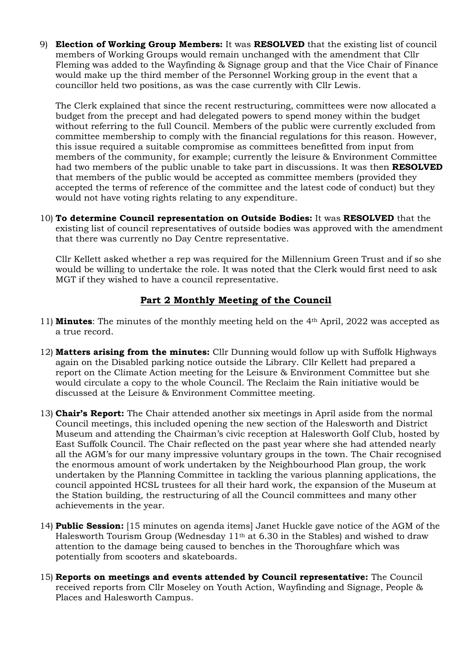9) **Election of Working Group Members:** It was **RESOLVED** that the existing list of council members of Working Groups would remain unchanged with the amendment that Cllr Fleming was added to the Wayfinding & Signage group and that the Vice Chair of Finance would make up the third member of the Personnel Working group in the event that a councillor held two positions, as was the case currently with Cllr Lewis.

The Clerk explained that since the recent restructuring, committees were now allocated a budget from the precept and had delegated powers to spend money within the budget without referring to the full Council. Members of the public were currently excluded from committee membership to comply with the financial regulations for this reason. However, this issue required a suitable compromise as committees benefitted from input from members of the community, for example; currently the leisure & Environment Committee had two members of the public unable to take part in discussions. It was then **RESOLVED** that members of the public would be accepted as committee members (provided they accepted the terms of reference of the committee and the latest code of conduct) but they would not have voting rights relating to any expenditure.

10) **To determine Council representation on Outside Bodies:** It was **RESOLVED** that the existing list of council representatives of outside bodies was approved with the amendment that there was currently no Day Centre representative.

Cllr Kellett asked whether a rep was required for the Millennium Green Trust and if so she would be willing to undertake the role. It was noted that the Clerk would first need to ask MGT if they wished to have a council representative.

## **Part 2 Monthly Meeting of the Council**

- 11) **Minutes**: The minutes of the monthly meeting held on the 4th April, 2022 was accepted as a true record.
- 12) **Matters arising from the minutes:** Cllr Dunning would follow up with Suffolk Highways again on the Disabled parking notice outside the Library. Cllr Kellett had prepared a report on the Climate Action meeting for the Leisure & Environment Committee but she would circulate a copy to the whole Council. The Reclaim the Rain initiative would be discussed at the Leisure & Environment Committee meeting.
- 13) **Chair's Report:** The Chair attended another six meetings in April aside from the normal Council meetings, this included opening the new section of the Halesworth and District Museum and attending the Chairman's civic reception at Halesworth Golf Club, hosted by East Suffolk Council. The Chair reflected on the past year where she had attended nearly all the AGM's for our many impressive voluntary groups in the town. The Chair recognised the enormous amount of work undertaken by the Neighbourhood Plan group, the work undertaken by the Planning Committee in tackling the various planning applications, the council appointed HCSL trustees for all their hard work, the expansion of the Museum at the Station building, the restructuring of all the Council committees and many other achievements in the year.
- 14) **Public Session:** [15 minutes on agenda items] Janet Huckle gave notice of the AGM of the Halesworth Tourism Group (Wednesday 11th at 6.30 in the Stables) and wished to draw attention to the damage being caused to benches in the Thoroughfare which was potentially from scooters and skateboards.
- 15) **Reports on meetings and events attended by Council representative:** The Council received reports from Cllr Moseley on Youth Action, Wayfinding and Signage, People & Places and Halesworth Campus.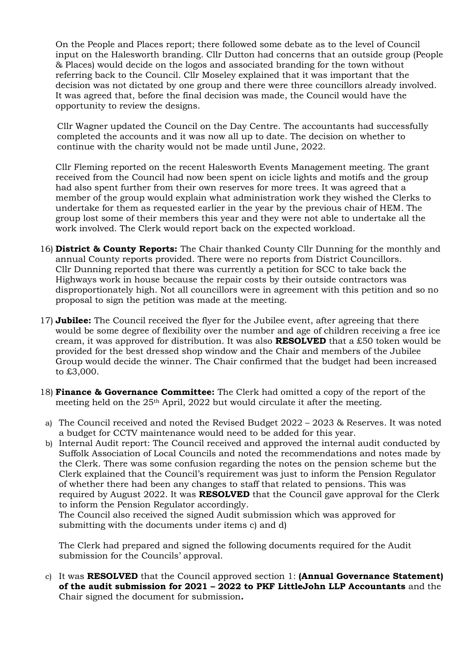On the People and Places report; there followed some debate as to the level of Council input on the Halesworth branding. Cllr Dutton had concerns that an outside group (People & Places) would decide on the logos and associated branding for the town without referring back to the Council. Cllr Moseley explained that it was important that the decision was not dictated by one group and there were three councillors already involved. It was agreed that, before the final decision was made, the Council would have the opportunity to review the designs.

Cllr Wagner updated the Council on the Day Centre. The accountants had successfully completed the accounts and it was now all up to date. The decision on whether to continue with the charity would not be made until June, 2022.

Cllr Fleming reported on the recent Halesworth Events Management meeting. The grant received from the Council had now been spent on icicle lights and motifs and the group had also spent further from their own reserves for more trees. It was agreed that a member of the group would explain what administration work they wished the Clerks to undertake for them as requested earlier in the year by the previous chair of HEM. The group lost some of their members this year and they were not able to undertake all the work involved. The Clerk would report back on the expected workload.

- 16) **District & County Reports:** The Chair thanked County Cllr Dunning for the monthly and annual County reports provided. There were no reports from District Councillors. Cllr Dunning reported that there was currently a petition for SCC to take back the Highways work in house because the repair costs by their outside contractors was disproportionately high. Not all councillors were in agreement with this petition and so no proposal to sign the petition was made at the meeting.
- 17) **Jubilee:** The Council received the flyer for the Jubilee event, after agreeing that there would be some degree of flexibility over the number and age of children receiving a free ice cream, it was approved for distribution. It was also **RESOLVED** that a £50 token would be provided for the best dressed shop window and the Chair and members of the Jubilee Group would decide the winner. The Chair confirmed that the budget had been increased to £3,000.
- 18) **Finance & Governance Committee:** The Clerk had omitted a copy of the report of the meeting held on the 25th April, 2022 but would circulate it after the meeting.
- a) The Council received and noted the Revised Budget 2022 2023 & Reserves. It was noted a budget for CCTV maintenance would need to be added for this year.
- b) Internal Audit report: The Council received and approved the internal audit conducted by Suffolk Association of Local Councils and noted the recommendations and notes made by the Clerk. There was some confusion regarding the notes on the pension scheme but the Clerk explained that the Council's requirement was just to inform the Pension Regulator of whether there had been any changes to staff that related to pensions. This was required by August 2022. It was **RESOLVED** that the Council gave approval for the Clerk to inform the Pension Regulator accordingly.

The Council also received the signed Audit submission which was approved for submitting with the documents under items c) and d)

The Clerk had prepared and signed the following documents required for the Audit submission for the Councils' approval.

c) It was **RESOLVED** that the Council approved section 1: **(Annual Governance Statement) of the audit submission for 2021 – 2022 to PKF LittleJohn LLP Accountants** and the Chair signed the document for submission**.**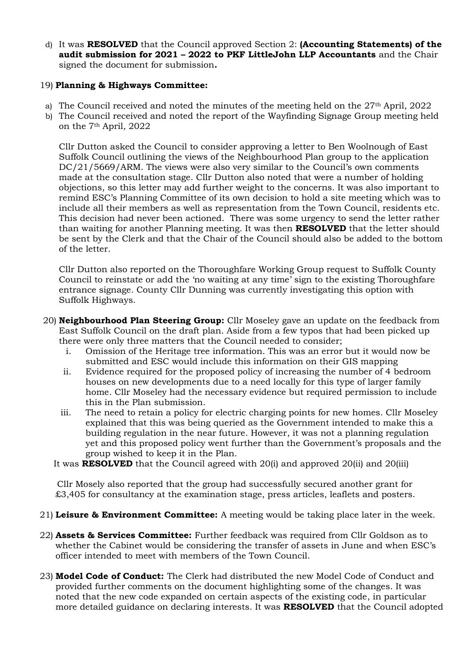d) It was **RESOLVED** that the Council approved Section 2: **(Accounting Statements) of the audit submission for 2021 – 2022 to PKF LittleJohn LLP Accountants** and the Chair signed the document for submission**.**

## 19) **Planning & Highways Committee:**

- a) The Council received and noted the minutes of the meeting held on the 27<sup>th</sup> April, 2022
- b) The Council received and noted the report of the Wayfinding Signage Group meeting held on the 7th April, 2022

Cllr Dutton asked the Council to consider approving a letter to Ben Woolnough of East Suffolk Council outlining the views of the Neighbourhood Plan group to the application DC/21/5669/ARM. The views were also very similar to the Council's own comments made at the consultation stage. Cllr Dutton also noted that were a number of holding objections, so this letter may add further weight to the concerns. It was also important to remind ESC's Planning Committee of its own decision to hold a site meeting which was to include all their members as well as representation from the Town Council, residents etc. This decision had never been actioned. There was some urgency to send the letter rather than waiting for another Planning meeting. It was then **RESOLVED** that the letter should be sent by the Clerk and that the Chair of the Council should also be added to the bottom of the letter.

Cllr Dutton also reported on the Thoroughfare Working Group request to Suffolk County Council to reinstate or add the 'no waiting at any time' sign to the existing Thoroughfare entrance signage. County Cllr Dunning was currently investigating this option with Suffolk Highways.

- 20) **Neighbourhood Plan Steering Group:** Cllr Moseley gave an update on the feedback from East Suffolk Council on the draft plan. Aside from a few typos that had been picked up there were only three matters that the Council needed to consider;
	- i. Omission of the Heritage tree information. This was an error but it would now be submitted and ESC would include this information on their GIS mapping
	- ii. Evidence required for the proposed policy of increasing the number of 4 bedroom houses on new developments due to a need locally for this type of larger family home. Cllr Moseley had the necessary evidence but required permission to include this in the Plan submission.
	- iii. The need to retain a policy for electric charging points for new homes. Cllr Moseley explained that this was being queried as the Government intended to make this a building regulation in the near future. However, it was not a planning regulation yet and this proposed policy went further than the Government's proposals and the group wished to keep it in the Plan.
	- It was **RESOLVED** that the Council agreed with 20(i) and approved 20(ii) and 20(iii)

Cllr Mosely also reported that the group had successfully secured another grant for £3,405 for consultancy at the examination stage, press articles, leaflets and posters.

- 21) **Leisure & Environment Committee:** A meeting would be taking place later in the week.
- 22) **Assets & Services Committee:** Further feedback was required from Cllr Goldson as to whether the Cabinet would be considering the transfer of assets in June and when ESC's officer intended to meet with members of the Town Council.
- 23) **Model Code of Conduct:** The Clerk had distributed the new Model Code of Conduct and provided further comments on the document highlighting some of the changes. It was noted that the new code expanded on certain aspects of the existing code, in particular more detailed guidance on declaring interests. It was **RESOLVED** that the Council adopted